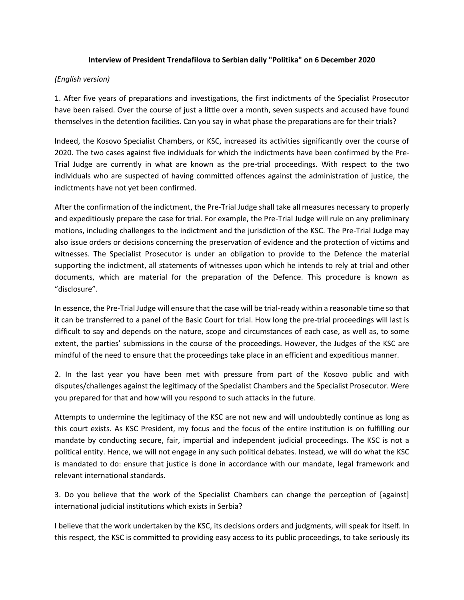## **Interview of President Trendafilova to Serbian daily "Politika" on 6 December 2020**

## *(English version)*

1. After five years of preparations and investigations, the first indictments of the Specialist Prosecutor have been raised. Over the course of just a little over a month, seven suspects and accused have found themselves in the detention facilities. Can you say in what phase the preparations are for their trials?

Indeed, the Kosovo Specialist Chambers, or KSC, increased its activities significantly over the course of 2020. The two cases against five individuals for which the indictments have been confirmed by the Pre-Trial Judge are currently in what are known as the pre-trial proceedings. With respect to the two individuals who are suspected of having committed offences against the administration of justice, the indictments have not yet been confirmed.

After the confirmation of the indictment, the Pre-Trial Judge shall take all measures necessary to properly and expeditiously prepare the case for trial. For example, the Pre-Trial Judge will rule on any preliminary motions, including challenges to the indictment and the jurisdiction of the KSC. The Pre-Trial Judge may also issue orders or decisions concerning the preservation of evidence and the protection of victims and witnesses. The Specialist Prosecutor is under an obligation to provide to the Defence the material supporting the indictment, all statements of witnesses upon which he intends to rely at trial and other documents, which are material for the preparation of the Defence. This procedure is known as "disclosure".

In essence, the Pre-Trial Judge will ensure that the case will be trial-ready within a reasonable time so that it can be transferred to a panel of the Basic Court for trial. How long the pre-trial proceedings will last is difficult to say and depends on the nature, scope and circumstances of each case, as well as, to some extent, the parties' submissions in the course of the proceedings. However, the Judges of the KSC are mindful of the need to ensure that the proceedings take place in an efficient and expeditious manner.

2. In the last year you have been met with pressure from part of the Kosovo public and with disputes/challenges against the legitimacy of the Specialist Chambers and the Specialist Prosecutor. Were you prepared for that and how will you respond to such attacks in the future.

Attempts to undermine the legitimacy of the KSC are not new and will undoubtedly continue as long as this court exists. As KSC President, my focus and the focus of the entire institution is on fulfilling our mandate by conducting secure, fair, impartial and independent judicial proceedings. The KSC is not a political entity. Hence, we will not engage in any such political debates. Instead, we will do what the KSC is mandated to do: ensure that justice is done in accordance with our mandate, legal framework and relevant international standards.

3. Do you believe that the work of the Specialist Chambers can change the perception of [against] international judicial institutions which exists in Serbia?

I believe that the work undertaken by the KSC, its decisions orders and judgments, will speak for itself. In this respect, the KSC is committed to providing easy access to its public proceedings, to take seriously its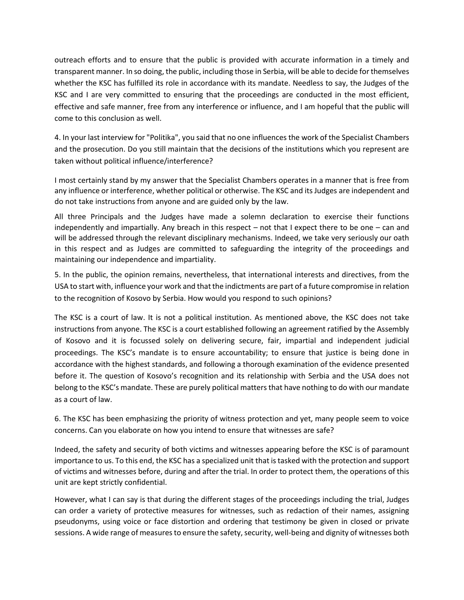outreach efforts and to ensure that the public is provided with accurate information in a timely and transparent manner. In so doing, the public, including those in Serbia, will be able to decide for themselves whether the KSC has fulfilled its role in accordance with its mandate. Needless to say, the Judges of the KSC and I are very committed to ensuring that the proceedings are conducted in the most efficient, effective and safe manner, free from any interference or influence, and I am hopeful that the public will come to this conclusion as well.

4. In your last interview for "Politika", you said that no one influences the work of the Specialist Chambers and the prosecution. Do you still maintain that the decisions of the institutions which you represent are taken without political influence/interference?

I most certainly stand by my answer that the Specialist Chambers operates in a manner that is free from any influence or interference, whether political or otherwise. The KSC and its Judges are independent and do not take instructions from anyone and are guided only by the law.

All three Principals and the Judges have made a solemn declaration to exercise their functions independently and impartially. Any breach in this respect – not that I expect there to be one – can and will be addressed through the relevant disciplinary mechanisms. Indeed, we take very seriously our oath in this respect and as Judges are committed to safeguarding the integrity of the proceedings and maintaining our independence and impartiality.

5. In the public, the opinion remains, nevertheless, that international interests and directives, from the USA to start with, influence your work and that the indictments are part of a future compromise in relation to the recognition of Kosovo by Serbia. How would you respond to such opinions?

The KSC is a court of law. It is not a political institution. As mentioned above, the KSC does not take instructions from anyone. The KSC is a court established following an agreement ratified by the Assembly of Kosovo and it is focussed solely on delivering secure, fair, impartial and independent judicial proceedings. The KSC's mandate is to ensure accountability; to ensure that justice is being done in accordance with the highest standards, and following a thorough examination of the evidence presented before it. The question of Kosovo's recognition and its relationship with Serbia and the USA does not belong to the KSC's mandate. These are purely political matters that have nothing to do with our mandate as a court of law.

6. The KSC has been emphasizing the priority of witness protection and yet, many people seem to voice concerns. Can you elaborate on how you intend to ensure that witnesses are safe?

Indeed, the safety and security of both victims and witnesses appearing before the KSC is of paramount importance to us. To this end, the KSC has a specialized unit that is tasked with the protection and support of victims and witnesses before, during and after the trial. In order to protect them, the operations of this unit are kept strictly confidential.

However, what I can say is that during the different stages of the proceedings including the trial, Judges can order a variety of protective measures for witnesses, such as redaction of their names, assigning pseudonyms, using voice or face distortion and ordering that testimony be given in closed or private sessions. A wide range of measures to ensure the safety, security, well-being and dignity of witnesses both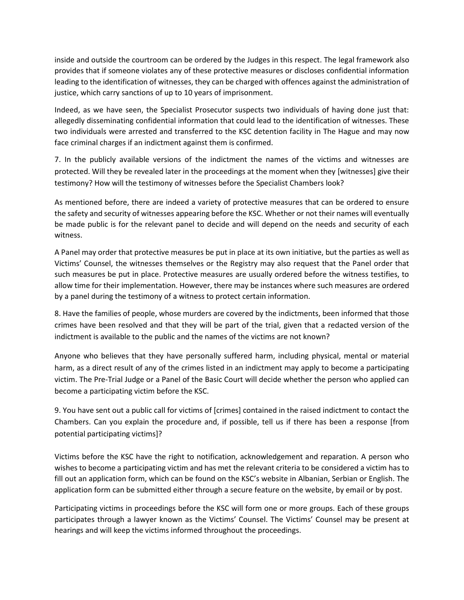inside and outside the courtroom can be ordered by the Judges in this respect. The legal framework also provides that if someone violates any of these protective measures or discloses confidential information leading to the identification of witnesses, they can be charged with offences against the administration of justice, which carry sanctions of up to 10 years of imprisonment.

Indeed, as we have seen, the Specialist Prosecutor suspects two individuals of having done just that: allegedly disseminating confidential information that could lead to the identification of witnesses. These two individuals were arrested and transferred to the KSC detention facility in The Hague and may now face criminal charges if an indictment against them is confirmed.

7. In the publicly available versions of the indictment the names of the victims and witnesses are protected. Will they be revealed later in the proceedings at the moment when they [witnesses] give their testimony? How will the testimony of witnesses before the Specialist Chambers look?

As mentioned before, there are indeed a variety of protective measures that can be ordered to ensure the safety and security of witnesses appearing before the KSC. Whether or not their names will eventually be made public is for the relevant panel to decide and will depend on the needs and security of each witness.

A Panel may order that protective measures be put in place at its own initiative, but the parties as well as Victims' Counsel, the witnesses themselves or the Registry may also request that the Panel order that such measures be put in place. Protective measures are usually ordered before the witness testifies, to allow time for their implementation. However, there may be instances where such measures are ordered by a panel during the testimony of a witness to protect certain information.

8. Have the families of people, whose murders are covered by the indictments, been informed that those crimes have been resolved and that they will be part of the trial, given that a redacted version of the indictment is available to the public and the names of the victims are not known?

Anyone who believes that they have personally suffered harm, including physical, mental or material harm, as a direct result of any of the crimes listed in an indictment may apply to become a participating victim. The Pre-Trial Judge or a Panel of the Basic Court will decide whether the person who applied can become a participating victim before the KSC.

9. You have sent out a public call for victims of [crimes] contained in the raised indictment to contact the Chambers. Can you explain the procedure and, if possible, tell us if there has been a response [from potential participating victims]?

Victims before the KSC have the right to notification, acknowledgement and reparation. A person who wishes to become a participating victim and has met the relevant criteria to be considered a victim has to fill out an application form, which can be found on the KSC's website in Albanian, Serbian or English. The application form can be submitted either through a secure feature on the website, by email or by post.

Participating victims in proceedings before the KSC will form one or more groups. Each of these groups participates through a lawyer known as the Victims' Counsel. The Victims' Counsel may be present at hearings and will keep the victims informed throughout the proceedings.